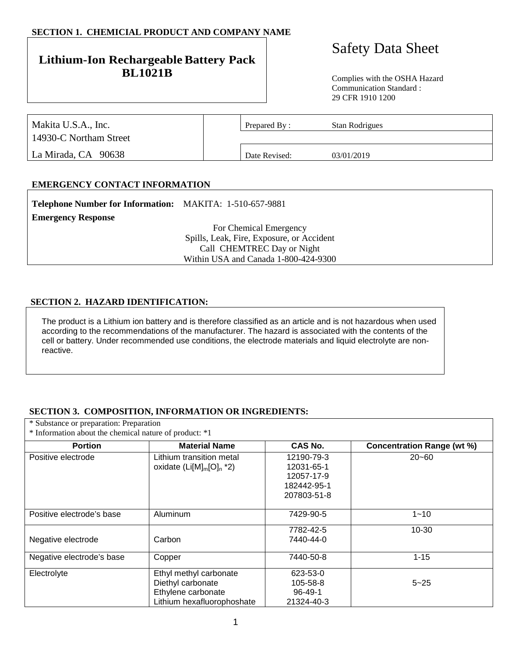# **SECTION 1. CHEMICIAL PRODUCT AND COMPANY NAME**

# **Lithium-Ion Rechargeable Battery Pack**

# Safety Data Sheet

Complies with the OSHA Hazard Communication Standard : 29 CFR 1910 1200

| Makita U.S.A., Inc.    | Prepared By:  | Stan Rodrigues |  |
|------------------------|---------------|----------------|--|
| 14930-C Northam Street |               |                |  |
| La Mirada, CA 90638    | Date Revised: | 03/01/2019     |  |

# **EMERGENCY CONTACT INFORMATION**

| <b>Telephone Number for Information:</b> MAKITA: 1-510-657-9881 |                                           |
|-----------------------------------------------------------------|-------------------------------------------|
| <b>Emergency Response</b>                                       |                                           |
|                                                                 | For Chemical Emergency                    |
|                                                                 | Spills, Leak, Fire, Exposure, or Accident |
|                                                                 | Call CHEMTREC Day or Night                |
|                                                                 | Within USA and Canada 1-800-424-9300      |

#### **SECTION 2. HAZARD IDENTIFICATION:**

The product is a Lithium ion battery and is therefore classified as an article and is not hazardous when used according to the recommendations of the manufacturer. The hazard is associated with the contents of the cell or battery. Under recommended use conditions, the electrode materials and liquid electrolyte are nonreactive.

#### **SECTION 3. COMPOSITION, INFORMATION OR INGREDIENTS:**

\* Substance or preparation: Preparation

\* Information about the chemical nature of product: \*1

| <b>Portion</b>            | <b>Material Name</b>         | CAS No.       | <b>Concentration Range (wt %)</b> |
|---------------------------|------------------------------|---------------|-----------------------------------|
| Positive electrode        | Lithium transition metal     | 12190-79-3    | $20 - 60$                         |
|                           | oxidate $(Li[M]_m[O]_n * 2)$ | 12031-65-1    |                                   |
|                           |                              | 12057-17-9    |                                   |
|                           |                              | 182442-95-1   |                                   |
|                           |                              | 207803-51-8   |                                   |
| Positive electrode's base | Aluminum                     | 7429-90-5     | $1 - 10$                          |
|                           |                              | 7782-42-5     | $10 - 30$                         |
| Negative electrode        | Carbon                       | 7440-44-0     |                                   |
| Negative electrode's base | Copper                       | 7440-50-8     | $1 - 15$                          |
| Electrolyte               | Ethyl methyl carbonate       | 623-53-0      |                                   |
|                           | Diethyl carbonate            | 105-58-8      | $5 - 25$                          |
|                           | Ethylene carbonate           | $96 - 49 - 1$ |                                   |
|                           | Lithium hexafluorophoshate   | 21324-40-3    |                                   |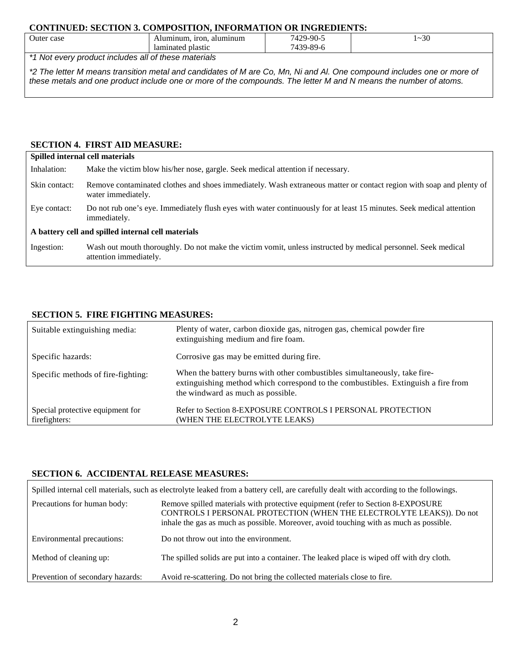# **CONTINUED: SECTION 3. COMPOSITION, INFORMATION OR INGREDIENTS:**

| $\sim$<br>case<br>Juter                                                                                                                     | nınum.<br>iron.<br>alumınum | $-90-5$<br>142c | $\sim 30$ |
|---------------------------------------------------------------------------------------------------------------------------------------------|-----------------------------|-----------------|-----------|
|                                                                                                                                             | plastic<br>laminated        | റെ<br>120       |           |
| and the common state of the state of the state of the state of the state of the state of the state of the state<br>. . <i>. .</i> .<br>$+1$ |                             |                 |           |

*\*1 Not every product includes all of these materials*

*\*2 The letter M means transition metal and candidates of M are Co, Mn, Ni and Al. One compound includes one or more of these metals and one product include one or more of the compounds. The letter M and N means the number of atoms.*

# **SECTION 4. FIRST AID MEASURE:**

| Spilled internal cell materials                    |                                                                                                                                           |  |  |
|----------------------------------------------------|-------------------------------------------------------------------------------------------------------------------------------------------|--|--|
| Inhalation:                                        | Make the victim blow his/her nose, gargle. Seek medical attention if necessary.                                                           |  |  |
| Skin contact:                                      | Remove contaminated clothes and shoes immediately. Wash extraneous matter or contact region with soap and plenty of<br>water immediately. |  |  |
| Eye contact:                                       | Do not rub one's eye. Immediately flush eyes with water continuously for at least 15 minutes. Seek medical attention<br>immediately.      |  |  |
| A battery cell and spilled internal cell materials |                                                                                                                                           |  |  |
| Ingestion:                                         | Wash out mouth thoroughly. Do not make the victim vomit, unless instructed by medical personnel. Seek medical<br>attention immediately.   |  |  |

# **SECTION 5. FIRE FIGHTING MEASURES:**

| Suitable extinguishing media:                     | Plenty of water, carbon dioxide gas, nitrogen gas, chemical powder fire<br>extinguishing medium and fire foam.                                                                                      |
|---------------------------------------------------|-----------------------------------------------------------------------------------------------------------------------------------------------------------------------------------------------------|
| Specific hazards:                                 | Corrosive gas may be emitted during fire.                                                                                                                                                           |
| Specific methods of fire-fighting:                | When the battery burns with other combustibles simultaneously, take fire-<br>extinguishing method which correspond to the combustibles. Extinguish a fire from<br>the windward as much as possible. |
| Special protective equipment for<br>firefighters: | Refer to Section 8-EXPOSURE CONTROLS I PERSONAL PROTECTION<br>(WHEN THE ELECTROLYTE LEAKS)                                                                                                          |

#### **SECTION 6. ACCIDENTAL RELEASE MEASURES:**

|                                  | Spilled internal cell materials, such as electrolyte leaked from a battery cell, are carefully dealt with according to the followings.                                                                                                             |
|----------------------------------|----------------------------------------------------------------------------------------------------------------------------------------------------------------------------------------------------------------------------------------------------|
| Precautions for human body:      | Remove spilled materials with protective equipment (refer to Section 8-EXPOSURE)<br>CONTROLS I PERSONAL PROTECTION (WHEN THE ELECTROLYTE LEAKS)). Do not<br>inhale the gas as much as possible. Moreover, avoid touching with as much as possible. |
| Environmental precautions:       | Do not throw out into the environment.                                                                                                                                                                                                             |
| Method of cleaning up:           | The spilled solids are put into a container. The leaked place is wiped off with dry cloth.                                                                                                                                                         |
| Prevention of secondary hazards: | Avoid re-scattering. Do not bring the collected materials close to fire.                                                                                                                                                                           |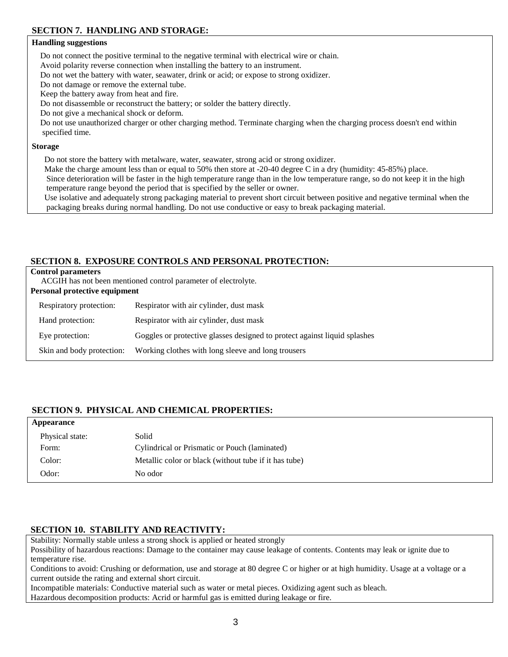# **SECTION 7. HANDLING AND STORAGE:**

#### **Handling suggestions**

Do not connect the positive terminal to the negative terminal with electrical wire or chain.

Avoid polarity reverse connection when installing the battery to an instrument.

Do not wet the battery with water, seawater, drink or acid; or expose to strong oxidizer.

Do not damage or remove the external tube.

Keep the battery away from heat and fire.

Do not disassemble or reconstruct the battery; or solder the battery directly.

Do not give a mechanical shock or deform.

 Do not use unauthorized charger or other charging method. Terminate charging when the charging process doesn't end within specified time.

#### **Storage**

Do not store the battery with metalware, water, seawater, strong acid or strong oxidizer.

Make the charge amount less than or equal to 50% then store at -20-40 degree C in a dry (humidity: 45-85%) place.

 Since deterioration will be faster in the high temperature range than in the low temperature range, so do not keep it in the high temperature range beyond the period that is specified by the seller or owner.

 Use isolative and adequately strong packaging material to prevent short circuit between positive and negative terminal when the packaging breaks during normal handling. Do not use conductive or easy to break packaging material.

#### **SECTION 8. EXPOSURE CONTROLS AND PERSONAL PROTECTION:**

**Control parameters**

ACGIH has not been mentioned control parameter of electrolyte.

**Personal protective equipment**

| Respiratory protection:   | Respirator with air cylinder, dust mask                                   |
|---------------------------|---------------------------------------------------------------------------|
| Hand protection:          | Respirator with air cylinder, dust mask                                   |
| Eye protection:           | Goggles or protective glasses designed to protect against liquid splashes |
| Skin and body protection: | Working clothes with long sleeve and long trousers                        |

# **SECTION 9. PHYSICAL AND CHEMICAL PROPERTIES:**

| Physical state:<br>Solid<br>Cylindrical or Prismatic or Pouch (laminated)<br>Form:<br>Metallic color or black (without tube if it has tube)<br>Color:<br>No odor<br>Odor: | Appearance |  |
|---------------------------------------------------------------------------------------------------------------------------------------------------------------------------|------------|--|
|                                                                                                                                                                           |            |  |
|                                                                                                                                                                           |            |  |
|                                                                                                                                                                           |            |  |
|                                                                                                                                                                           |            |  |

# **SECTION 10. STABILITY AND REACTIVITY:**

Stability: Normally stable unless a strong shock is applied or heated strongly

Possibility of hazardous reactions: Damage to the container may cause leakage of contents. Contents may leak or ignite due to temperature rise.

Conditions to avoid: Crushing or deformation, use and storage at 80 degree C or higher or at high humidity. Usage at a voltage or a current outside the rating and external short circuit.

Incompatible materials: Conductive material such as water or metal pieces. Oxidizing agent such as bleach.

Hazardous decomposition products: Acrid or harmful gas is emitted during leakage or fire.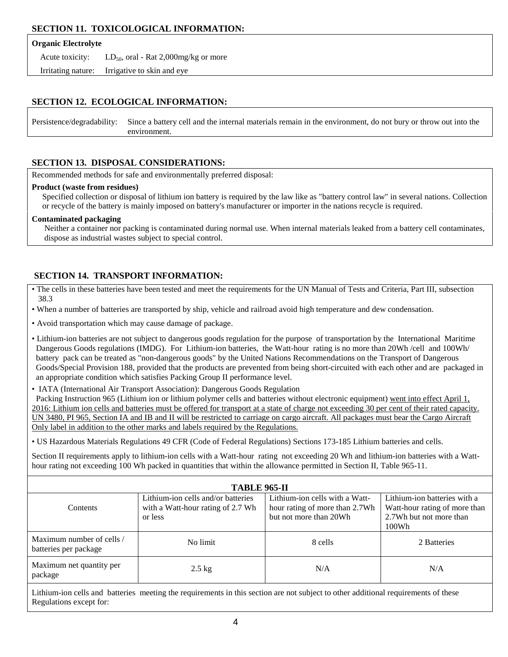# **SECTION 11. TOXICOLOGICAL INFORMATION:**

#### **Organic Electrolyte**

Acute toxicity:  $LD_{50}$ , oral - Rat 2,000mg/kg or more

Irritating nature: Irrigative to skin and eye

# **SECTION 12. ECOLOGICAL INFORMATION:**

Persistence/degradability: Since a battery cell and the internal materials remain in the environment, do not bury or throw out into the environment.

#### **SECTION 13. DISPOSAL CONSIDERATIONS:**

Recommended methods for safe and environmentally preferred disposal:

#### **Product (waste from residues)**

 Specified collection or disposal of lithium ion battery is required by the law like as "battery control law" in several nations. Collection or recycle of the battery is mainly imposed on battery's manufacturer or importer in the nations recycle is required.

#### **Contaminated packaging**

 Neither a container nor packing is contaminated during normal use. When internal materials leaked from a battery cell contaminates, dispose as industrial wastes subject to special control.

# **SECTION 14. TRANSPORT INFORMATION:**

- The cells in these batteries have been tested and meet the requirements for the UN Manual of Tests and Criteria, Part III, subsection 38.3
- When a number of batteries are transported by ship, vehicle and railroad avoid high temperature and dew condensation.
- Avoid transportation which may cause damage of package.
- Lithium-ion batteries are not subject to dangerous goods regulation for the purpose of transportation by the International Maritime Dangerous Goods regulations (IMDG). For Lithium-ion batteries, the Watt-hour rating is no more than 20Wh /cell and 100Wh/ battery pack can be treated as "non-dangerous goods" by the United Nations Recommendations on the Transport of Dangerous Goods/Special Provision 188, provided that the products are prevented from being short-circuited with each other and are packaged in an appropriate condition which satisfies Packing Group II performance level.
- IATA (International Air Transport Association): Dangerous Goods Regulation

 Packing Instruction 965 (Lithium ion or lithium polymer cells and batteries without electronic equipment) went into effect April 1, 2016: Lithium ion cells and batteries must be offered for transport at a state of charge not exceeding 30 per cent of their rated capacity. UN 3480, PI 965, Section IA and IB and II will be restricted to carriage on cargo aircraft. All packages must bear the Cargo Aircraft Only label in addition to the other marks and labels required by the Regulations.

• US Hazardous Materials Regulations 49 CFR (Code of Federal Regulations) Sections 173-185 Lithium batteries and cells.

Section II requirements apply to lithium-ion cells with a Watt-hour rating not exceeding 20 Wh and lithium-ion batteries with a Watthour rating not exceeding 100 Wh packed in quantities that within the allowance permitted in Section II, Table 965-11.

| <b>TABLE 965-II</b>                                |                                                                                    |                                                                                            |                                                                                                   |  |
|----------------------------------------------------|------------------------------------------------------------------------------------|--------------------------------------------------------------------------------------------|---------------------------------------------------------------------------------------------------|--|
| <b>Contents</b>                                    | Lithium-ion cells and/or batteries<br>with a Watt-hour rating of 2.7 Wh<br>or less | Lithium-ion cells with a Watt-<br>hour rating of more than 2.7Wh<br>but not more than 20Wh | Lithium-ion batteries with a<br>Watt-hour rating of more than<br>2.7Wh but not more than<br>100Wh |  |
| Maximum number of cells /<br>batteries per package | No limit                                                                           | 8 cells                                                                                    | 2 Batteries                                                                                       |  |
| Maximum net quantity per<br>package                | $2.5$ kg                                                                           | N/A                                                                                        | N/A                                                                                               |  |

Lithium-ion cells and batteries meeting the requirements in this section are not subject to other additional requirements of these Regulations except for: